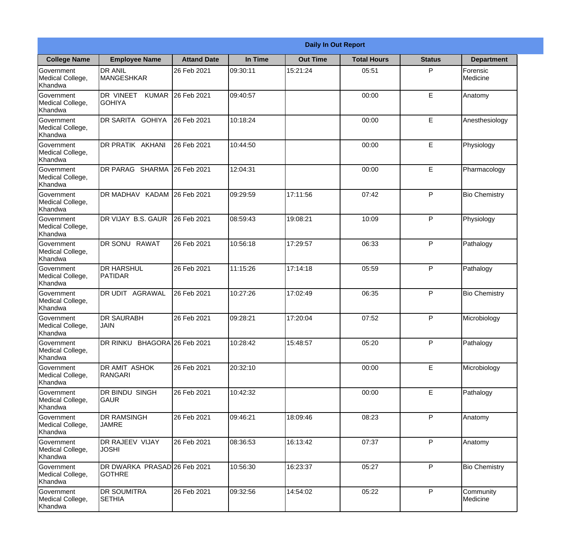|                                                  |                                               |                    |          | <b>Daily In Out Report</b> |                    |               |                       |
|--------------------------------------------------|-----------------------------------------------|--------------------|----------|----------------------------|--------------------|---------------|-----------------------|
| <b>College Name</b>                              | <b>Employee Name</b>                          | <b>Attand Date</b> | In Time  | <b>Out Time</b>            | <b>Total Hours</b> | <b>Status</b> | <b>Department</b>     |
| Government<br>Medical College,<br>Khandwa        | <b>DR ANIL</b><br><b>MANGESHKAR</b>           | 26 Feb 2021        | 09:30:11 | 15:21:24                   | 05:51              | P             | Forensic<br>Medicine  |
| Government<br>Medical College,<br>Khandwa        | DR VINEET<br><b>KUMAR</b><br><b>GOHIYA</b>    | 26 Feb 2021        | 09:40:57 |                            | 00:00              | E             | Anatomy               |
| <b>Government</b><br>Medical College,<br>Khandwa | DR SARITA GOHIYA                              | 26 Feb 2021        | 10:18:24 |                            | 00:00              | E             | Anesthesiology        |
| Government<br>Medical College,<br>Khandwa        | <b>DR PRATIK AKHANI</b>                       | 26 Feb 2021        | 10:44:50 |                            | 00:00              | E             | Physiology            |
| Government<br>Medical College,<br>Khandwa        | DR PARAG SHARMA                               | 26 Feb 2021        | 12:04:31 |                            | 00:00              | E             | Pharmacology          |
| Government<br>Medical College,<br>Khandwa        | DR MADHAV KADAM                               | 26 Feb 2021        | 09:29:59 | 17:11:56                   | 07:42              | P             | <b>Bio Chemistry</b>  |
| Government<br>Medical College,<br>Khandwa        | DR VIJAY B.S. GAUR                            | 26 Feb 2021        | 08:59:43 | 19:08:21                   | 10:09              | P             | Physiology            |
| Government<br>Medical College,<br>Khandwa        | DR SONU RAWAT                                 | 26 Feb 2021        | 10:56:18 | 17:29:57                   | 06:33              | P             | Pathalogy             |
| Government<br>Medical College,<br>Khandwa        | <b>DR HARSHUL</b><br>PATIDAR                  | 26 Feb 2021        | 11:15:26 | 17:14:18                   | 05:59              | P             | Pathalogy             |
| Government<br>Medical College,<br>Khandwa        | DR UDIT<br><b>AGRAWAL</b>                     | 26 Feb 2021        | 10:27:26 | 17:02:49                   | 06:35              | P             | <b>Bio Chemistry</b>  |
| Government<br>Medical College,<br>Khandwa        | <b>IDR SAURABH</b><br><b>JAIN</b>             | 26 Feb 2021        | 09:28:21 | 17:20:04                   | 07:52              | $\mathsf{P}$  | Microbiology          |
| Government<br>Medical College,<br>Khandwa        | DR RINKU BHAGORA 26 Feb 2021                  |                    | 10:28:42 | 15:48:57                   | 05:20              | P             | Pathalogy             |
| Government<br>Medical College,<br>Khandwa        | <b>DR AMIT ASHOK</b><br>RANGARI               | 26 Feb 2021        | 20:32:10 |                            | 00:00              | E             | Microbiology          |
| Government<br>Medical College,<br>Khandwa        | DR BINDU SINGH<br> GAUR                       | 26 Feb 2021        | 10:42:32 |                            | 00:00              | E             | Pathalogy             |
| Government<br>Medical College,<br>Khandwa        | <b>DR RAMSINGH</b><br><b>JAMRE</b>            | 26 Feb 2021        | 09:46:21 | 18:09:46                   | 08:23              | P             | Anatomy               |
| Government<br>Medical College,<br>Khandwa        | <b>DR RAJEEV VIJAY</b><br><b>JOSHI</b>        | 26 Feb 2021        | 08:36:53 | 16:13:42                   | 07:37              | P             | Anatomy               |
| Government<br>Medical College,<br>Khandwa        | DR DWARKA PRASAD 26 Feb 2021<br><b>GOTHRE</b> |                    | 10:56:30 | 16:23:37                   | 05:27              | P             | <b>Bio Chemistry</b>  |
| Government<br>Medical College,<br>Khandwa        | <b>DR SOUMITRA</b><br><b>SETHIA</b>           | 26 Feb 2021        | 09:32:56 | 14:54:02                   | 05:22              | P             | Community<br>Medicine |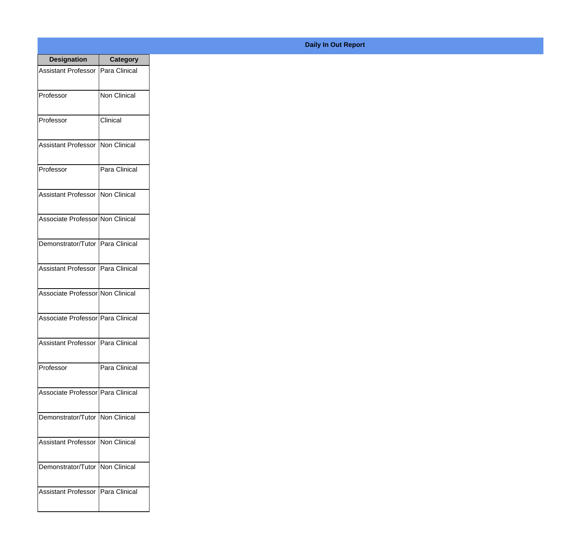| <b>Designation</b>                  | <b>Category</b>     |
|-------------------------------------|---------------------|
| Assistant Professor   Para Clinical |                     |
| Professor                           | <b>Non Clinical</b> |
| Professor                           | Clinical            |
| <b>Assistant Professor</b>          | Non Clinical        |
| Professor                           | Para Clinical       |
| Assistant Professor   Non Clinical  |                     |
| Associate Professor Non Clinical    |                     |
| Demonstrator/Tutor   Para Clinical  |                     |
| Assistant Professor   Para Clinical |                     |
| Associate Professor Non Clinical    |                     |
| Associate Professor Para Clinical   |                     |
| Assistant Professor   Para Clinical |                     |
| Professor                           | Para Clinical       |
| Associate Professor Para Clinical   |                     |
| Demonstrator/Tutor   Non Clinical   |                     |
| <b>Assistant Professor</b>          | Non Clinical        |
| Demonstrator/Tutor   Non Clinical   |                     |
| Assistant Professor   Para Clinical |                     |

## **Daily In Out Report**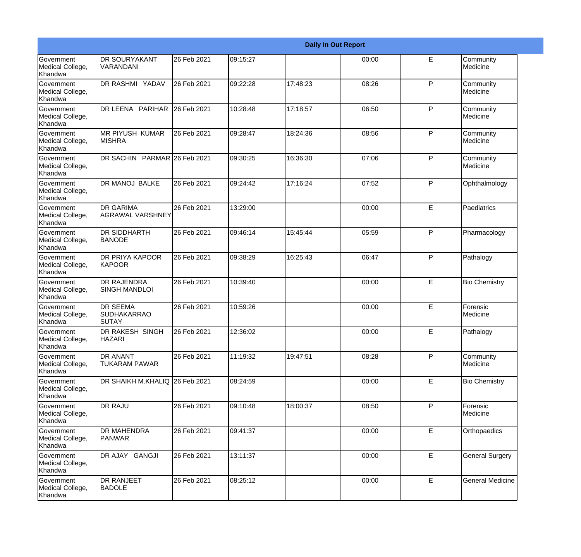|                                                  |                                                       |             |          |          | <b>Daily In Out Report</b> |              |                         |
|--------------------------------------------------|-------------------------------------------------------|-------------|----------|----------|----------------------------|--------------|-------------------------|
| <b>Government</b><br>Medical College,<br>Khandwa | <b>DR SOURYAKANT</b><br><b>VARANDANI</b>              | 26 Feb 2021 | 09:15:27 |          | 00:00                      | E            | Community<br>Medicine   |
| <b>Government</b><br>Medical College,<br>Khandwa | DR RASHMI YADAV                                       | 26 Feb 2021 | 09:22:28 | 17:48:23 | 08:26                      | $\mathsf{P}$ | Community<br>Medicine   |
| <b>Government</b><br>Medical College,<br>Khandwa | DR LEENA PARIHAR 26 Feb 2021                          |             | 10:28:48 | 17:18:57 | 06:50                      | P            | Community<br>Medicine   |
| <b>Government</b><br>Medical College,<br>Khandwa | <b>MR PIYUSH KUMAR</b><br><b>MISHRA</b>               | 26 Feb 2021 | 09:28:47 | 18:24:36 | 08:56                      | P            | Community<br>Medicine   |
| Government<br>Medical College,<br>Khandwa        | DR SACHIN PARMAR 26 Feb 2021                          |             | 09:30:25 | 16:36:30 | 07:06                      | P            | Community<br>Medicine   |
| <b>Government</b><br>Medical College,<br>Khandwa | <b>DR MANOJ BALKE</b>                                 | 26 Feb 2021 | 09:24:42 | 17:16:24 | 07:52                      | $\mathsf{P}$ | Ophthalmology           |
| Government<br>Medical College,<br>Khandwa        | <b>DR GARIMA</b><br>IAGRAWAL VARSHNEY                 | 26 Feb 2021 | 13:29:00 |          | 00:00                      | E            | Paediatrics             |
| Government<br>Medical College,<br>Khandwa        | <b>DR SIDDHARTH</b><br><b>BANODE</b>                  | 26 Feb 2021 | 09:46:14 | 15:45:44 | 05:59                      | P            | Pharmacology            |
| Government<br>Medical College,<br>Khandwa        | DR PRIYA KAPOOR<br><b>KAPOOR</b>                      | 26 Feb 2021 | 09:38:29 | 16:25:43 | 06:47                      | $\mathsf{P}$ | Pathalogy               |
| <b>Government</b><br>Medical College,<br>Khandwa | <b>DR RAJENDRA</b><br><b>SINGH MANDLOI</b>            | 26 Feb 2021 | 10:39:40 |          | 00:00                      | E            | <b>Bio Chemistry</b>    |
| <b>Government</b><br>Medical College,<br>Khandwa | <b>DR SEEMA</b><br><b>SUDHAKARRAO</b><br><b>SUTAY</b> | 26 Feb 2021 | 10:59:26 |          | 00:00                      | E            | Forensic<br>Medicine    |
| Government<br>Medical College,<br>Khandwa        | <b>DR RAKESH SINGH</b><br><b>HAZARI</b>               | 26 Feb 2021 | 12:36:02 |          | 00:00                      | E            | Pathalogy               |
| Government<br>Medical College,<br>Khandwa        | <b>DR ANANT</b><br><b>TUKARAM PAWAR</b>               | 26 Feb 2021 | 11:19:32 | 19:47:51 | 08:28                      | P            | Community<br>Medicine   |
| Government<br>Medical College,<br>Khandwa        | DR SHAIKH M.KHALIQ 26 Feb 2021                        |             | 08:24:59 |          | 00:00                      | E            | <b>Bio Chemistry</b>    |
| Government<br>Medical College,<br>Khandwa        | <b>DR RAJU</b>                                        | 26 Feb 2021 | 09:10:48 | 18:00:37 | 08:50                      | P            | Forensic<br>Medicine    |
| Government<br>Medical College,<br>Khandwa        | <b>DR MAHENDRA</b><br>PANWAR                          | 26 Feb 2021 | 09:41:37 |          | 00:00                      | E.           | Orthopaedics            |
| Government<br>Medical College,<br>Khandwa        | DR AJAY GANGJI                                        | 26 Feb 2021 | 13:11:37 |          | 00:00                      | E            | <b>General Surgery</b>  |
| Government<br>Medical College,<br>Khandwa        | <b>DR RANJEET</b><br><b>BADOLE</b>                    | 26 Feb 2021 | 08:25:12 |          | 00:00                      | E            | <b>General Medicine</b> |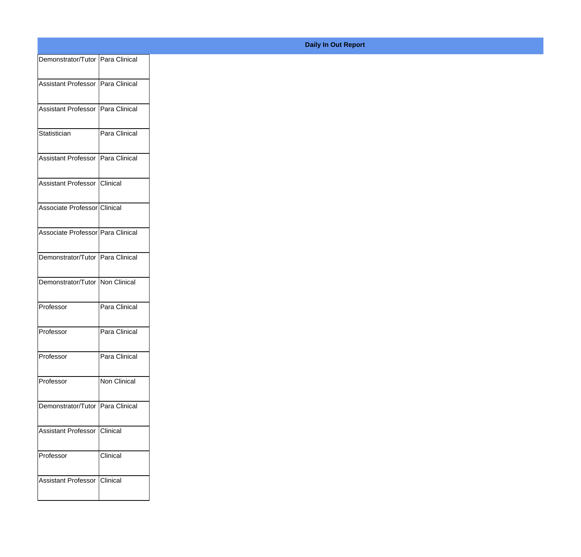| Demonstrator/Tutor Para Clinical  |               |
|-----------------------------------|---------------|
| Assistant Professor Para Clinical |               |
| Assistant Professor Para Clinical |               |
|                                   |               |
| Statistician                      | Para Clinical |
| Assistant Professor Para Clinical |               |
| Assistant Professor Clinical      |               |
| Associate Professor Clinical      |               |
| Associate Professor Para Clinical |               |
|                                   |               |
| Demonstrator/Tutor Para Clinical  |               |
| Demonstrator/Tutor Non Clinical   |               |
| Professor                         | Para Clinical |
| Professor                         | Para Clinical |
| Professor                         | Para Clinical |
|                                   |               |
| Professor                         | Non Clinical  |
| Demonstrator/Tutor Para Clinical  |               |
| Assistant Professor Clinical      |               |
| Professor                         | Clinical      |
|                                   |               |
| Assistant Professor Clinical      |               |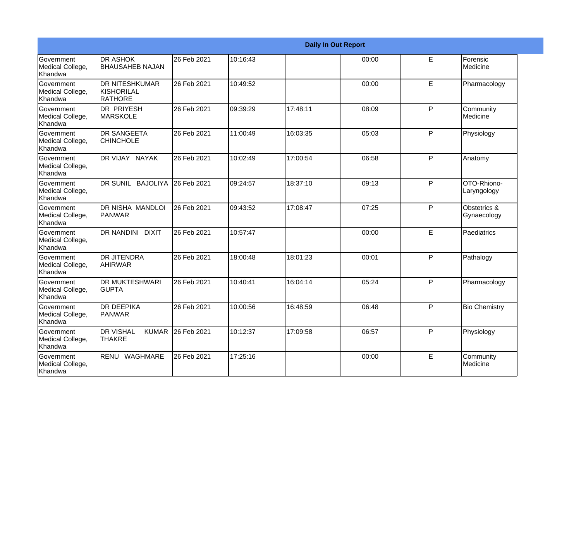|                                                  |                                                   |             |          |          | <b>Daily In Out Report</b> |   |                             |
|--------------------------------------------------|---------------------------------------------------|-------------|----------|----------|----------------------------|---|-----------------------------|
| Government<br>Medical College,<br>Khandwa        | <b>DR ASHOK</b><br><b>BHAUSAHEB NAJAN</b>         | 26 Feb 2021 | 10:16:43 |          | 00:00                      | E | Forensic<br>Medicine        |
| <b>Government</b><br>Medical College,<br>Khandwa | <b>DR NITESHKUMAR</b><br>KISHORILAL<br>IRATHORE   | 26 Feb 2021 | 10:49:52 |          | 00:00                      | E | Pharmacology                |
| <b>Government</b><br>Medical College,<br>Khandwa | <b>DR PRIYESH</b><br><b>MARSKOLE</b>              | 26 Feb 2021 | 09:39:29 | 17:48:11 | 08:09                      | P | Community<br>Medicine       |
| <b>Government</b><br>Medical College,<br>Khandwa | <b>DR SANGEETA</b><br><b>CHINCHOLE</b>            | 26 Feb 2021 | 11:00:49 | 16:03:35 | 05:03                      | P | Physiology                  |
| <b>Government</b><br>Medical College,<br>Khandwa | DR VIJAY NAYAK                                    | 26 Feb 2021 | 10:02:49 | 17:00:54 | 06:58                      | P | Anatomy                     |
| <b>Government</b><br>Medical College,<br>Khandwa | DR SUNIL BAJOLIYA                                 | 26 Feb 2021 | 09:24:57 | 18:37:10 | 09:13                      | P | OTO-Rhiono-<br>Laryngology  |
| <b>Government</b><br>Medical College,<br>Khandwa | DR NISHA MANDLOI<br>PANWAR                        | 26 Feb 2021 | 09:43:52 | 17:08:47 | 07:25                      | P | Obstetrics &<br>Gynaecology |
| <b>Government</b><br>Medical College,<br>Khandwa | DR NANDINI DIXIT                                  | 26 Feb 2021 | 10:57:47 |          | 00:00                      | E | Paediatrics                 |
| <b>Government</b><br>Medical College,<br>Khandwa | <b>DR JITENDRA</b><br><b>AHIRWAR</b>              | 26 Feb 2021 | 18:00:48 | 18:01:23 | 00:01                      | P | Pathalogy                   |
| Government<br>Medical College,<br>lKhandwa       | <b>DR MUKTESHWARI</b><br><b>GUPTA</b>             | 26 Feb 2021 | 10:40:41 | 16:04:14 | 05:24                      | P | Pharmacology                |
| <b>Government</b><br>Medical College,<br>Khandwa | <b>DR DEEPIKA</b><br>PANWAR                       | 26 Feb 2021 | 10:00:56 | 16:48:59 | 06:48                      | P | <b>Bio Chemistry</b>        |
| Government<br>Medical College,<br><b>Khandwa</b> | <b>DR VISHAL</b><br><b>KUMAR</b><br><b>THAKRE</b> | 26 Feb 2021 | 10:12:37 | 17:09:58 | 06:57                      | P | Physiology                  |
| <b>Government</b><br>Medical College,<br>Khandwa | RENU<br><b>WAGHMARE</b>                           | 26 Feb 2021 | 17:25:16 |          | 00:00                      | E | Community<br>Medicine       |